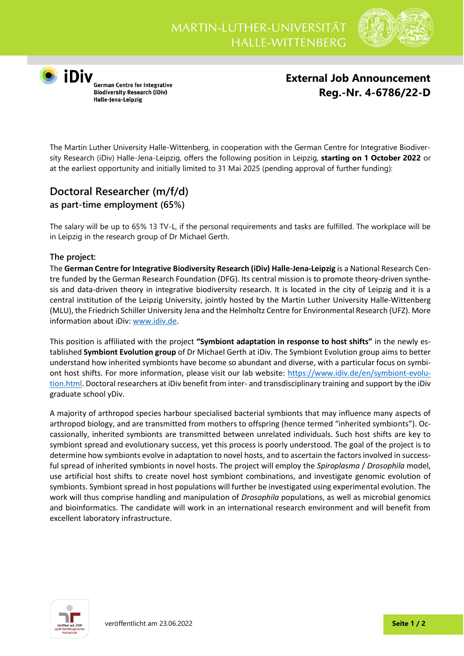

**O**<br> **iDiv**<br>
German Centre for Integrative<br>
Biodiversity Research (iDiv) Halle-Jena-Leipzig

**External Job Announcement Reg.-Nr. 4-6786/22-D**

The Martin Luther University Halle-Wittenberg, in cooperation with the German Centre for Integrative Biodiversity Research (iDiv) Halle-Jena-Leipzig, offers the following position in Leipzig, **starting on 1 October 2022** or at the earliest opportunity and initially limited to 31 Mai 2025 (pending approval of further funding):

## **Doctoral Researcher (m/f/d) as part-time employment (65%)**

The salary will be up to 65% 13 TV-L, if the personal requirements and tasks are fulfilled. The workplace will be in Leipzig in the research group of Dr Michael Gerth.

## **The project:**

The **German Centre for Integrative Biodiversity Research (iDiv) Halle-Jena-Leipzig** is a National Research Centre funded by the German Research Foundation (DFG). Its central mission is to promote theory-driven synthesis and data-driven theory in integrative biodiversity research. It is located in the city of Leipzig and it is a central institution of the Leipzig University, jointly hosted by the Martin Luther University Halle-Wittenberg (MLU), the Friedrich Schiller University Jena and the Helmholtz Centre for Environmental Research (UFZ). More information about iDiv[: www.idiv.de.](http://www.idiv.de/)

This position is affiliated with the project **"Symbiont adaptation in response to host shifts"** in the newly established **Symbiont Evolution group** of Dr Michael Gerth at iDiv. The Symbiont Evolution group aims to better understand how inherited symbionts have become so abundant and diverse, with a particular focus on symbiont host shifts. For more information, please visit our lab website: https://www.idiv.de/en/symbiont-evolution.html. Doctoral researchers at iDiv benefit from inter- and transdisciplinary training and support by the iDiv graduate school yDiv.

A majority of arthropod species harbour specialised bacterial symbionts that may influence many aspects of arthropod biology, and are transmitted from mothers to offspring (hence termed "inherited symbionts"). Occassionally, inherited symbionts are transmitted between unrelated individuals. Such host shifts are key to symbiont spread and evolutionary success, yet this process is poorly understood. The goal of the project is to determine how symbionts evolve in adaptation to novel hosts, and to ascertain the factors involved in successful spread of inherited symbionts in novel hosts. The project will employ the *Spiroplasma* / *Drosophila* model, use artificial host shifts to create novel host symbiont combinations, and investigate genomic evolution of symbionts. Symbiont spread in host populations will further be investigated using experimental evolution. The work will thus comprise handling and manipulation of *Drosophila* populations, as well as microbial genomics and bioinformatics. The candidate will work in an international research environment and will benefit from excellent laboratory infrastructure.